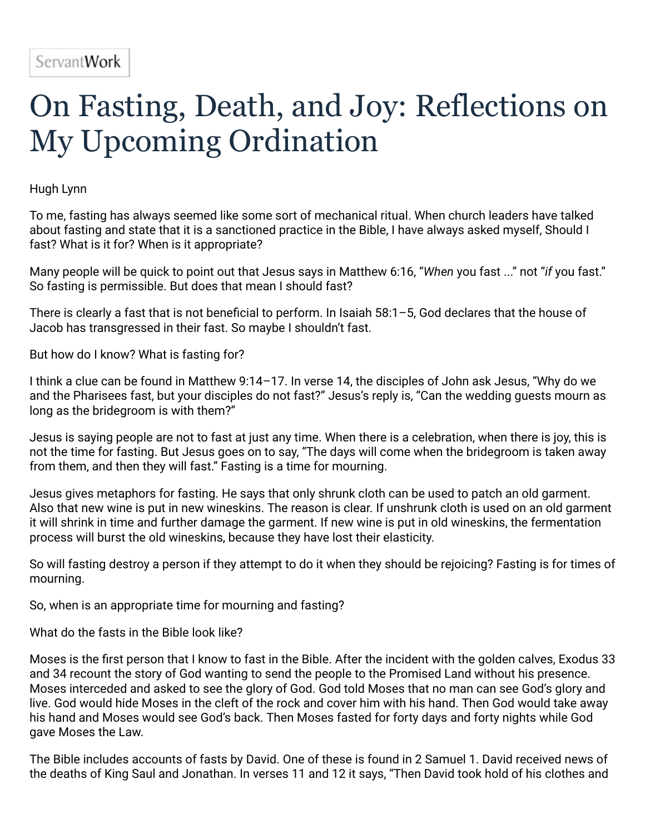## On Fasting, Death, and Joy: Reflections on My Upcoming Ordination

Hugh Lynn

To me, fasting has always seemed like some sort of mechanical ritual. When church leaders have talked about fasting and state that it is a sanctioned practice in the Bible, I have always asked myself, Should I fast? What is it for? When is it appropriate?

Many people will be quick to point out that Jesus says in Matthew 6:16, "*When* you fast ..." not "*if* you fast." So fasting is permissible. But does that mean I should fast?

There is clearly a fast that is not beneficial to perform. In Isaiah 58:1–5, God declares that the house of Jacob has transgressed in their fast. So maybe I shouldn't fast.

But how do I know? What is fasting for?

I think a clue can be found in Matthew 9:14–17. In verse 14, the disciples of John ask Jesus, "Why do we and the Pharisees fast, but your disciples do not fast?" Jesus's reply is, "Can the wedding guests mourn as long as the bridegroom is with them?"

Jesus is saying people are not to fast at just any time. When there is a celebration, when there is joy, this is not the time for fasting. But Jesus goes on to say, "The days will come when the bridegroom is taken away from them, and then they will fast." Fasting is a time for mourning.

Jesus gives metaphors for fasting. He says that only shrunk cloth can be used to patch an old garment. Also that new wine is put in new wineskins. The reason is clear. If unshrunk cloth is used on an old garment it will shrink in time and further damage the garment. If new wine is put in old wineskins, the fermentation process will burst the old wineskins, because they have lost their elasticity.

So will fasting destroy a person if they attempt to do it when they should be rejoicing? Fasting is for times of mourning.

So, when is an appropriate time for mourning and fasting?

What do the fasts in the Bible look like?

Moses is the first person that I know to fast in the Bible. After the incident with the golden calves, Exodus 33 and 34 recount the story of God wanting to send the people to the Promised Land without his presence. Moses interceded and asked to see the glory of God. God told Moses that no man can see God's glory and live. God would hide Moses in the cleft of the rock and cover him with his hand. Then God would take away his hand and Moses would see God's back. Then Moses fasted for forty days and forty nights while God gave Moses the Law.

The Bible includes accounts of fasts by David. One of these is found in 2 Samuel 1. David received news of the deaths of King Saul and Jonathan. In verses 11 and 12 it says, "Then David took hold of his clothes and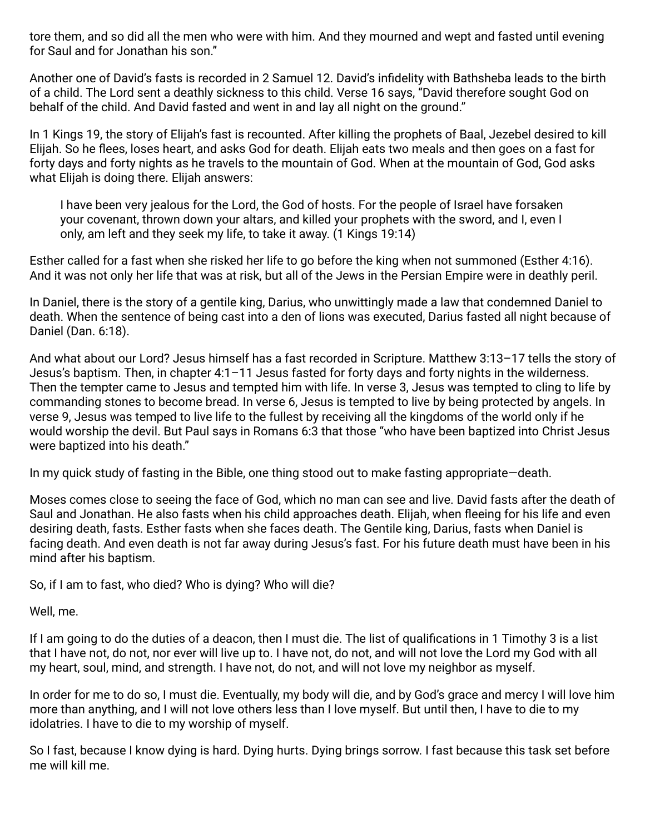tore them, and so did all the men who were with him. And they mourned and wept and fasted until evening for Saul and for Jonathan his son."

Another one of David's fasts is recorded in 2 Samuel 12. David's infidelity with Bathsheba leads to the birth of a child. The Lord sent a deathly sickness to this child. Verse 16 says, "David therefore sought God on behalf of the child. And David fasted and went in and lay all night on the ground."

In 1 Kings 19, the story of Elijah's fast is recounted. After killing the prophets of Baal, Jezebel desired to kill Elijah. So he flees, loses heart, and asks God for death. Elijah eats two meals and then goes on a fast for forty days and forty nights as he travels to the mountain of God. When at the mountain of God, God asks what Elijah is doing there. Elijah answers:

I have been very jealous for the Lord, the God of hosts. For the people of Israel have forsaken your covenant, thrown down your altars, and killed your prophets with the sword, and I, even I only, am left and they seek my life, to take it away. (1 Kings 19:14)

Esther called for a fast when she risked her life to go before the king when not summoned (Esther 4:16). And it was not only her life that was at risk, but all of the Jews in the Persian Empire were in deathly peril.

In Daniel, there is the story of a gentile king, Darius, who unwittingly made a law that condemned Daniel to death. When the sentence of being cast into a den of lions was executed, Darius fasted all night because of Daniel (Dan. 6:18).

And what about our Lord? Jesus himself has a fast recorded in Scripture. Matthew 3:13–17 tells the story of Jesus's baptism. Then, in chapter 4:1–11 Jesus fasted for forty days and forty nights in the wilderness. Then the tempter came to Jesus and tempted him with life. In verse 3, Jesus was tempted to cling to life by commanding stones to become bread. In verse 6, Jesus is tempted to live by being protected by angels. In verse 9, Jesus was temped to live life to the fullest by receiving all the kingdoms of the world only if he would worship the devil. But Paul says in Romans 6:3 that those "who have been baptized into Christ Jesus were baptized into his death."

In my quick study of fasting in the Bible, one thing stood out to make fasting appropriate—death.

Moses comes close to seeing the face of God, which no man can see and live. David fasts after the death of Saul and Jonathan. He also fasts when his child approaches death. Elijah, when fleeing for his life and even desiring death, fasts. Esther fasts when she faces death. The Gentile king, Darius, fasts when Daniel is facing death. And even death is not far away during Jesus's fast. For his future death must have been in his mind after his baptism.

So, if I am to fast, who died? Who is dying? Who will die?

Well, me.

If I am going to do the duties of a deacon, then I must die. The list of qualifications in 1 Timothy 3 is a list that I have not, do not, nor ever will live up to. I have not, do not, and will not love the Lord my God with all my heart, soul, mind, and strength. I have not, do not, and will not love my neighbor as myself.

In order for me to do so, I must die. Eventually, my body will die, and by God's grace and mercy I will love him more than anything, and I will not love others less than I love myself. But until then, I have to die to my idolatries. I have to die to my worship of myself.

So I fast, because I know dying is hard. Dying hurts. Dying brings sorrow. I fast because this task set before me will kill me.